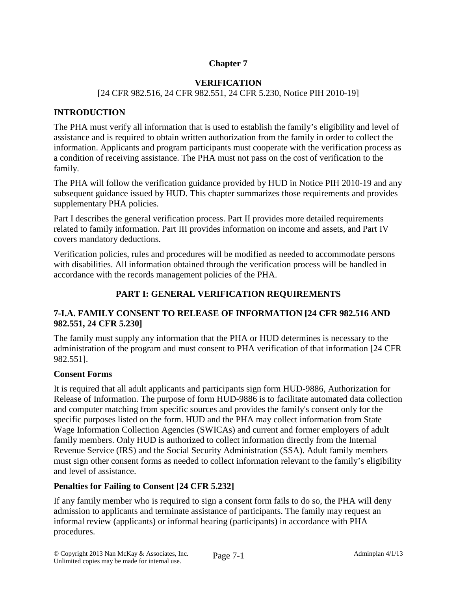# **Chapter 7**

## **VERIFICATION**

## [24 CFR 982.516, 24 CFR 982.551, 24 CFR 5.230, Notice PIH 2010-19]

## **INTRODUCTION**

The PHA must verify all information that is used to establish the family's eligibility and level of assistance and is required to obtain written authorization from the family in order to collect the information. Applicants and program participants must cooperate with the verification process as a condition of receiving assistance. The PHA must not pass on the cost of verification to the family.

The PHA will follow the verification guidance provided by HUD in Notice PIH 2010-19 and any subsequent guidance issued by HUD. This chapter summarizes those requirements and provides supplementary PHA policies.

Part I describes the general verification process. Part II provides more detailed requirements related to family information. Part III provides information on income and assets, and Part IV covers mandatory deductions.

Verification policies, rules and procedures will be modified as needed to accommodate persons with disabilities. All information obtained through the verification process will be handled in accordance with the records management policies of the PHA.

## **PART I: GENERAL VERIFICATION REQUIREMENTS**

## **7-I.A. FAMILY CONSENT TO RELEASE OF INFORMATION [24 CFR 982.516 AND 982.551, 24 CFR 5.230]**

The family must supply any information that the PHA or HUD determines is necessary to the administration of the program and must consent to PHA verification of that information [24 CFR 982.551].

## **Consent Forms**

It is required that all adult applicants and participants sign form HUD-9886, Authorization for Release of Information. The purpose of form HUD-9886 is to facilitate automated data collection and computer matching from specific sources and provides the family's consent only for the specific purposes listed on the form. HUD and the PHA may collect information from State Wage Information Collection Agencies (SWICAs) and current and former employers of adult family members. Only HUD is authorized to collect information directly from the Internal Revenue Service (IRS) and the Social Security Administration (SSA). Adult family members must sign other consent forms as needed to collect information relevant to the family's eligibility and level of assistance.

## **Penalties for Failing to Consent [24 CFR 5.232]**

If any family member who is required to sign a consent form fails to do so, the PHA will deny admission to applicants and terminate assistance of participants. The family may request an informal review (applicants) or informal hearing (participants) in accordance with PHA procedures.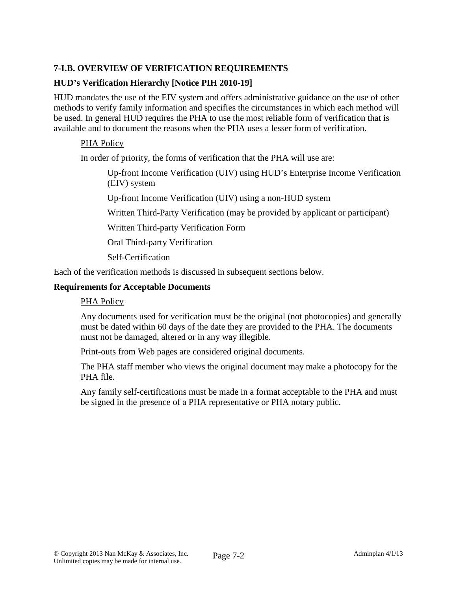# **7-I.B. OVERVIEW OF VERIFICATION REQUIREMENTS**

## **HUD's Verification Hierarchy [Notice PIH 2010-19]**

HUD mandates the use of the EIV system and offers administrative guidance on the use of other methods to verify family information and specifies the circumstances in which each method will be used. In general HUD requires the PHA to use the most reliable form of verification that is available and to document the reasons when the PHA uses a lesser form of verification.

## PHA Policy

In order of priority, the forms of verification that the PHA will use are:

Up-front Income Verification (UIV) using HUD's Enterprise Income Verification (EIV) system

Up-front Income Verification (UIV) using a non-HUD system

Written Third-Party Verification (may be provided by applicant or participant)

Written Third-party Verification Form

Oral Third-party Verification

Self-Certification

Each of the verification methods is discussed in subsequent sections below.

#### **Requirements for Acceptable Documents**

#### PHA Policy

Any documents used for verification must be the original (not photocopies) and generally must be dated within 60 days of the date they are provided to the PHA. The documents must not be damaged, altered or in any way illegible.

Print-outs from Web pages are considered original documents.

The PHA staff member who views the original document may make a photocopy for the PHA file.

Any family self-certifications must be made in a format acceptable to the PHA and must be signed in the presence of a PHA representative or PHA notary public.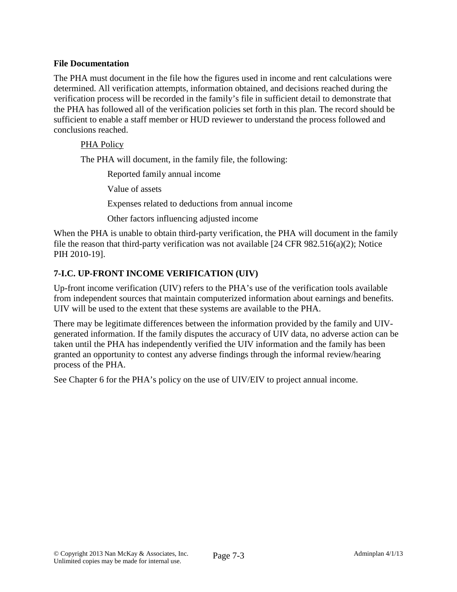## **File Documentation**

The PHA must document in the file how the figures used in income and rent calculations were determined. All verification attempts, information obtained, and decisions reached during the verification process will be recorded in the family's file in sufficient detail to demonstrate that the PHA has followed all of the verification policies set forth in this plan. The record should be sufficient to enable a staff member or HUD reviewer to understand the process followed and conclusions reached.

### PHA Policy

The PHA will document, in the family file, the following:

Reported family annual income

Value of assets

Expenses related to deductions from annual income

Other factors influencing adjusted income

When the PHA is unable to obtain third-party verification, the PHA will document in the family file the reason that third-party verification was not available [24 CFR 982.516(a)(2); Notice PIH 2010-19].

## **7-I.C. UP-FRONT INCOME VERIFICATION (UIV)**

Up-front income verification (UIV) refers to the PHA's use of the verification tools available from independent sources that maintain computerized information about earnings and benefits. UIV will be used to the extent that these systems are available to the PHA.

There may be legitimate differences between the information provided by the family and UIVgenerated information. If the family disputes the accuracy of UIV data, no adverse action can be taken until the PHA has independently verified the UIV information and the family has been granted an opportunity to contest any adverse findings through the informal review/hearing process of the PHA.

See Chapter 6 for the PHA's policy on the use of UIV/EIV to project annual income.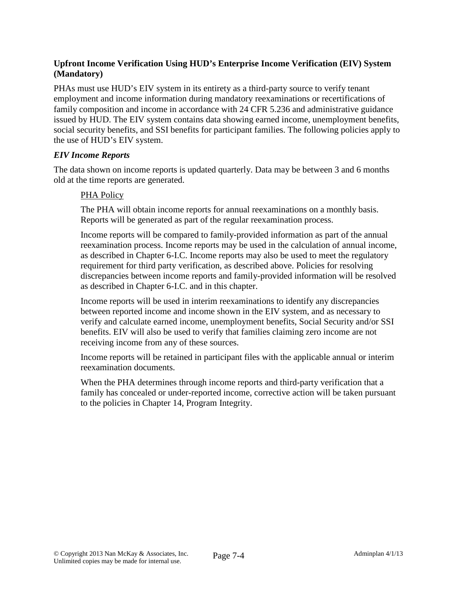# **Upfront Income Verification Using HUD's Enterprise Income Verification (EIV) System (Mandatory)**

PHAs must use HUD's EIV system in its entirety as a third-party source to verify tenant employment and income information during mandatory reexaminations or recertifications of family composition and income in accordance with 24 CFR 5.236 and administrative guidance issued by HUD. The EIV system contains data showing earned income, unemployment benefits, social security benefits, and SSI benefits for participant families. The following policies apply to the use of HUD's EIV system.

### *EIV Income Reports*

The data shown on income reports is updated quarterly. Data may be between 3 and 6 months old at the time reports are generated.

### PHA Policy

The PHA will obtain income reports for annual reexaminations on a monthly basis. Reports will be generated as part of the regular reexamination process.

Income reports will be compared to family-provided information as part of the annual reexamination process. Income reports may be used in the calculation of annual income, as described in Chapter 6-I.C. Income reports may also be used to meet the regulatory requirement for third party verification, as described above. Policies for resolving discrepancies between income reports and family-provided information will be resolved as described in Chapter 6-I.C. and in this chapter.

Income reports will be used in interim reexaminations to identify any discrepancies between reported income and income shown in the EIV system, and as necessary to verify and calculate earned income, unemployment benefits, Social Security and/or SSI benefits. EIV will also be used to verify that families claiming zero income are not receiving income from any of these sources.

Income reports will be retained in participant files with the applicable annual or interim reexamination documents.

When the PHA determines through income reports and third-party verification that a family has concealed or under-reported income, corrective action will be taken pursuant to the policies in Chapter 14, Program Integrity.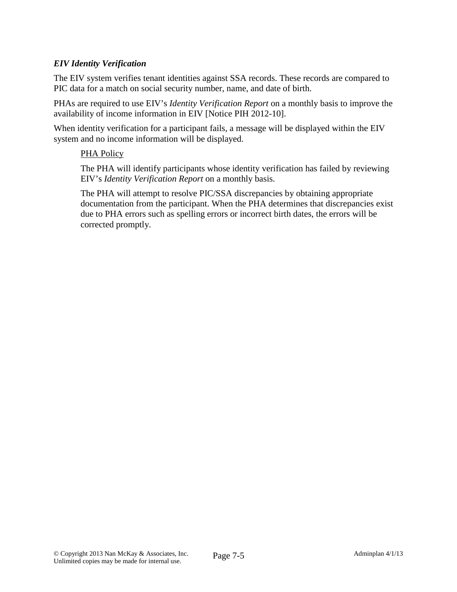## *EIV Identity Verification*

The EIV system verifies tenant identities against SSA records. These records are compared to PIC data for a match on social security number, name, and date of birth.

PHAs are required to use EIV's *Identity Verification Report* on a monthly basis to improve the availability of income information in EIV [Notice PIH 2012-10].

When identity verification for a participant fails, a message will be displayed within the EIV system and no income information will be displayed.

### PHA Policy

The PHA will identify participants whose identity verification has failed by reviewing EIV's *Identity Verification Report* on a monthly basis.

The PHA will attempt to resolve PIC/SSA discrepancies by obtaining appropriate documentation from the participant. When the PHA determines that discrepancies exist due to PHA errors such as spelling errors or incorrect birth dates, the errors will be corrected promptly.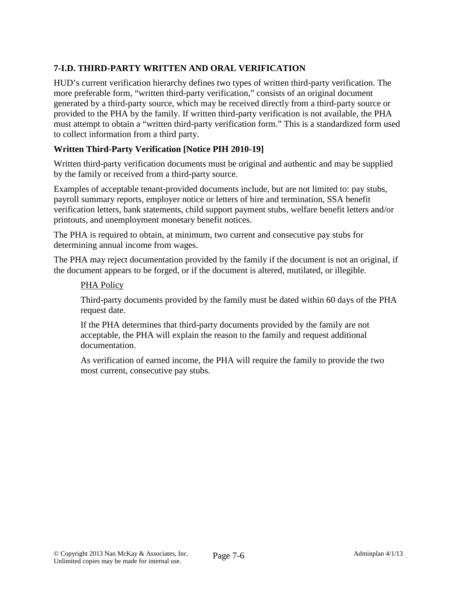# **7-I.D. THIRD-PARTY WRITTEN AND ORAL VERIFICATION**

HUD's current verification hierarchy defines two types of written third-party verification. The more preferable form, "written third-party verification," consists of an original document generated by a third-party source, which may be received directly from a third-party source or provided to the PHA by the family. If written third-party verification is not available, the PHA must attempt to obtain a "written third-party verification form." This is a standardized form used to collect information from a third party.

# **Written Third-Party Verification [Notice PIH 2010-19]**

Written third-party verification documents must be original and authentic and may be supplied by the family or received from a third-party source.

Examples of acceptable tenant-provided documents include, but are not limited to: pay stubs, payroll summary reports, employer notice or letters of hire and termination, SSA benefit verification letters, bank statements, child support payment stubs, welfare benefit letters and/or printouts, and unemployment monetary benefit notices.

The PHA is required to obtain, at minimum, two current and consecutive pay stubs for determining annual income from wages.

The PHA may reject documentation provided by the family if the document is not an original, if the document appears to be forged, or if the document is altered, mutilated, or illegible.

## PHA Policy

Third-party documents provided by the family must be dated within 60 days of the PHA request date.

If the PHA determines that third-party documents provided by the family are not acceptable, the PHA will explain the reason to the family and request additional documentation.

As verification of earned income, the PHA will require the family to provide the two most current, consecutive pay stubs.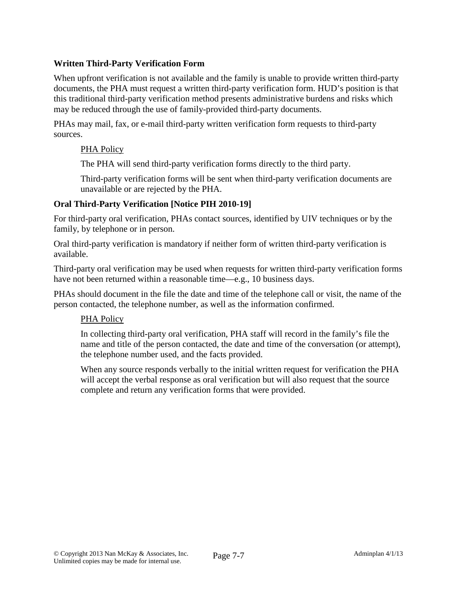## **Written Third-Party Verification Form**

When upfront verification is not available and the family is unable to provide written third-party documents, the PHA must request a written third-party verification form. HUD's position is that this traditional third-party verification method presents administrative burdens and risks which may be reduced through the use of family-provided third-party documents.

PHAs may mail, fax, or e-mail third-party written verification form requests to third-party sources.

#### PHA Policy

The PHA will send third-party verification forms directly to the third party.

Third-party verification forms will be sent when third-party verification documents are unavailable or are rejected by the PHA.

### **Oral Third-Party Verification [Notice PIH 2010-19]**

For third-party oral verification, PHAs contact sources, identified by UIV techniques or by the family, by telephone or in person.

Oral third-party verification is mandatory if neither form of written third-party verification is available.

Third-party oral verification may be used when requests for written third-party verification forms have not been returned within a reasonable time—e.g., 10 business days.

PHAs should document in the file the date and time of the telephone call or visit, the name of the person contacted, the telephone number, as well as the information confirmed.

#### PHA Policy

In collecting third-party oral verification, PHA staff will record in the family's file the name and title of the person contacted, the date and time of the conversation (or attempt), the telephone number used, and the facts provided.

When any source responds verbally to the initial written request for verification the PHA will accept the verbal response as oral verification but will also request that the source complete and return any verification forms that were provided.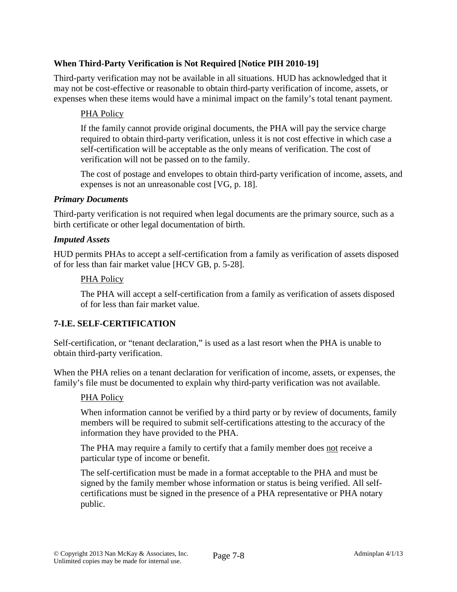# **When Third-Party Verification is Not Required [Notice PIH 2010-19]**

Third-party verification may not be available in all situations. HUD has acknowledged that it may not be cost-effective or reasonable to obtain third-party verification of income, assets, or expenses when these items would have a minimal impact on the family's total tenant payment.

## PHA Policy

If the family cannot provide original documents, the PHA will pay the service charge required to obtain third-party verification, unless it is not cost effective in which case a self-certification will be acceptable as the only means of verification. The cost of verification will not be passed on to the family.

The cost of postage and envelopes to obtain third-party verification of income, assets, and expenses is not an unreasonable cost [VG, p. 18].

#### *Primary Documents*

Third-party verification is not required when legal documents are the primary source, such as a birth certificate or other legal documentation of birth.

#### *Imputed Assets*

HUD permits PHAs to accept a self-certification from a family as verification of assets disposed of for less than fair market value [HCV GB, p. 5-28].

#### PHA Policy

The PHA will accept a self-certification from a family as verification of assets disposed of for less than fair market value.

#### **7-I.E. SELF-CERTIFICATION**

Self-certification, or "tenant declaration," is used as a last resort when the PHA is unable to obtain third-party verification.

When the PHA relies on a tenant declaration for verification of income, assets, or expenses, the family's file must be documented to explain why third-party verification was not available.

#### PHA Policy

When information cannot be verified by a third party or by review of documents, family members will be required to submit self-certifications attesting to the accuracy of the information they have provided to the PHA.

The PHA may require a family to certify that a family member does not receive a particular type of income or benefit.

The self-certification must be made in a format acceptable to the PHA and must be signed by the family member whose information or status is being verified. All selfcertifications must be signed in the presence of a PHA representative or PHA notary public.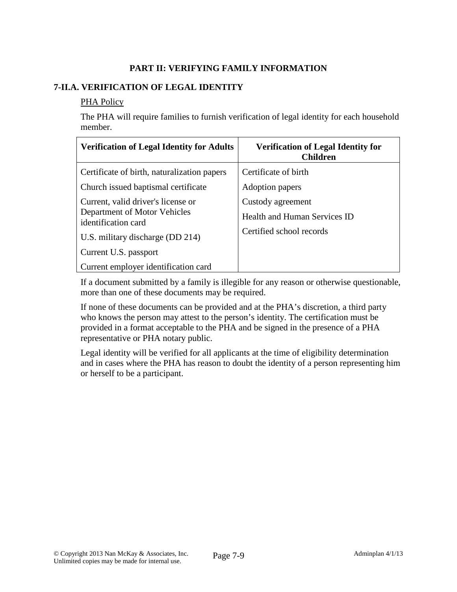# **PART II: VERIFYING FAMILY INFORMATION**

## **7-II.A. VERIFICATION OF LEGAL IDENTITY**

#### PHA Policy

The PHA will require families to furnish verification of legal identity for each household member.

| <b>Verification of Legal Identity for Adults</b>                                          | <b>Verification of Legal Identity for</b><br><b>Children</b> |
|-------------------------------------------------------------------------------------------|--------------------------------------------------------------|
| Certificate of birth, naturalization papers                                               | Certificate of birth                                         |
| Church issued baptismal certificate                                                       | Adoption papers                                              |
| Current, valid driver's license or<br>Department of Motor Vehicles<br>identification card | Custody agreement<br>Health and Human Services ID            |
| U.S. military discharge (DD 214)                                                          | Certified school records                                     |
| Current U.S. passport                                                                     |                                                              |
| Current employer identification card                                                      |                                                              |

If a document submitted by a family is illegible for any reason or otherwise questionable, more than one of these documents may be required.

If none of these documents can be provided and at the PHA's discretion, a third party who knows the person may attest to the person's identity. The certification must be provided in a format acceptable to the PHA and be signed in the presence of a PHA representative or PHA notary public.

Legal identity will be verified for all applicants at the time of eligibility determination and in cases where the PHA has reason to doubt the identity of a person representing him or herself to be a participant.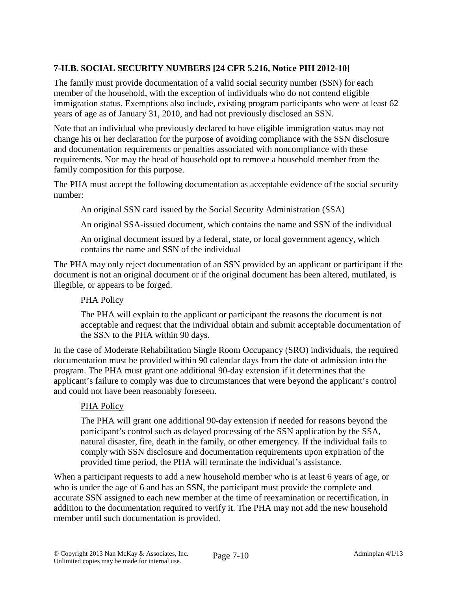# **7-II.B. SOCIAL SECURITY NUMBERS [24 CFR 5.216, Notice PIH 2012-10]**

The family must provide documentation of a valid social security number (SSN) for each member of the household, with the exception of individuals who do not contend eligible immigration status. Exemptions also include, existing program participants who were at least 62 years of age as of January 31, 2010, and had not previously disclosed an SSN.

Note that an individual who previously declared to have eligible immigration status may not change his or her declaration for the purpose of avoiding compliance with the SSN disclosure and documentation requirements or penalties associated with noncompliance with these requirements. Nor may the head of household opt to remove a household member from the family composition for this purpose.

The PHA must accept the following documentation as acceptable evidence of the social security number:

An original SSN card issued by the Social Security Administration (SSA)

An original SSA-issued document, which contains the name and SSN of the individual

An original document issued by a federal, state, or local government agency, which contains the name and SSN of the individual

The PHA may only reject documentation of an SSN provided by an applicant or participant if the document is not an original document or if the original document has been altered, mutilated, is illegible, or appears to be forged.

## PHA Policy

The PHA will explain to the applicant or participant the reasons the document is not acceptable and request that the individual obtain and submit acceptable documentation of the SSN to the PHA within 90 days.

In the case of Moderate Rehabilitation Single Room Occupancy (SRO) individuals, the required documentation must be provided within 90 calendar days from the date of admission into the program. The PHA must grant one additional 90-day extension if it determines that the applicant's failure to comply was due to circumstances that were beyond the applicant's control and could not have been reasonably foreseen.

#### PHA Policy

The PHA will grant one additional 90-day extension if needed for reasons beyond the participant's control such as delayed processing of the SSN application by the SSA, natural disaster, fire, death in the family, or other emergency. If the individual fails to comply with SSN disclosure and documentation requirements upon expiration of the provided time period, the PHA will terminate the individual's assistance.

When a participant requests to add a new household member who is at least 6 years of age, or who is under the age of 6 and has an SSN, the participant must provide the complete and accurate SSN assigned to each new member at the time of reexamination or recertification, in addition to the documentation required to verify it. The PHA may not add the new household member until such documentation is provided.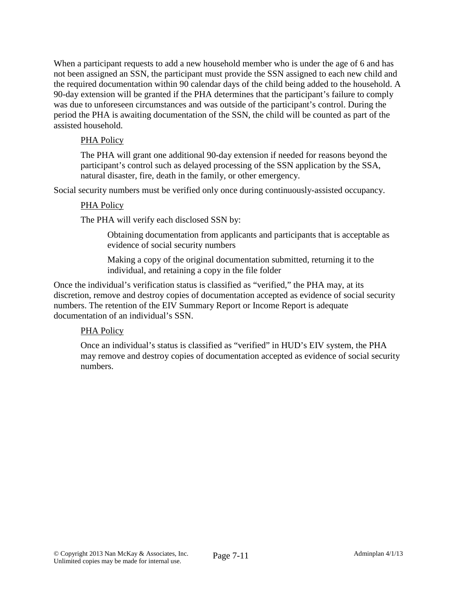When a participant requests to add a new household member who is under the age of 6 and has not been assigned an SSN, the participant must provide the SSN assigned to each new child and the required documentation within 90 calendar days of the child being added to the household. A 90-day extension will be granted if the PHA determines that the participant's failure to comply was due to unforeseen circumstances and was outside of the participant's control. During the period the PHA is awaiting documentation of the SSN, the child will be counted as part of the assisted household.

## PHA Policy

The PHA will grant one additional 90-day extension if needed for reasons beyond the participant's control such as delayed processing of the SSN application by the SSA, natural disaster, fire, death in the family, or other emergency.

Social security numbers must be verified only once during continuously-assisted occupancy.

### PHA Policy

The PHA will verify each disclosed SSN by:

Obtaining documentation from applicants and participants that is acceptable as evidence of social security numbers

Making a copy of the original documentation submitted, returning it to the individual, and retaining a copy in the file folder

Once the individual's verification status is classified as "verified," the PHA may, at its discretion, remove and destroy copies of documentation accepted as evidence of social security numbers. The retention of the EIV Summary Report or Income Report is adequate documentation of an individual's SSN.

## PHA Policy

Once an individual's status is classified as "verified" in HUD's EIV system, the PHA may remove and destroy copies of documentation accepted as evidence of social security numbers.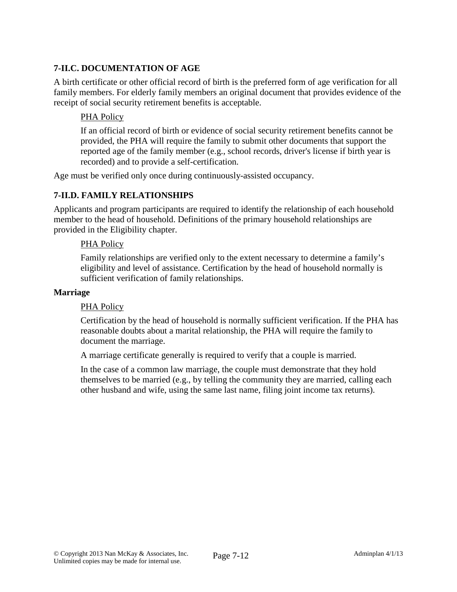# **7-II.C. DOCUMENTATION OF AGE**

A birth certificate or other official record of birth is the preferred form of age verification for all family members. For elderly family members an original document that provides evidence of the receipt of social security retirement benefits is acceptable.

## PHA Policy

If an official record of birth or evidence of social security retirement benefits cannot be provided, the PHA will require the family to submit other documents that support the reported age of the family member (e.g., school records, driver's license if birth year is recorded) and to provide a self-certification.

Age must be verified only once during continuously-assisted occupancy.

## **7-II.D. FAMILY RELATIONSHIPS**

Applicants and program participants are required to identify the relationship of each household member to the head of household. Definitions of the primary household relationships are provided in the Eligibility chapter.

### PHA Policy

Family relationships are verified only to the extent necessary to determine a family's eligibility and level of assistance. Certification by the head of household normally is sufficient verification of family relationships.

#### **Marriage**

#### PHA Policy

Certification by the head of household is normally sufficient verification. If the PHA has reasonable doubts about a marital relationship, the PHA will require the family to document the marriage.

A marriage certificate generally is required to verify that a couple is married.

In the case of a common law marriage, the couple must demonstrate that they hold themselves to be married (e.g., by telling the community they are married, calling each other husband and wife, using the same last name, filing joint income tax returns).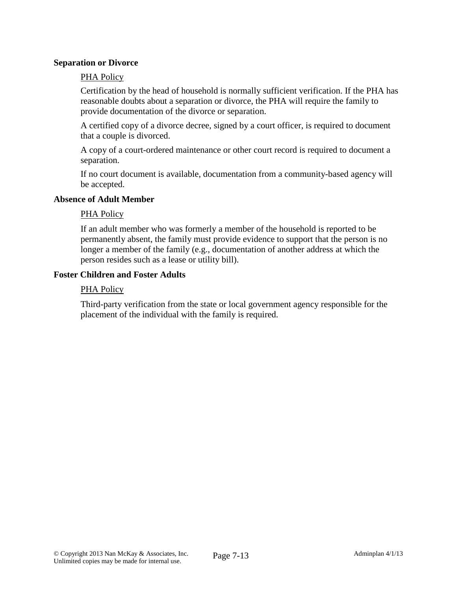#### **Separation or Divorce**

#### PHA Policy

Certification by the head of household is normally sufficient verification. If the PHA has reasonable doubts about a separation or divorce, the PHA will require the family to provide documentation of the divorce or separation.

A certified copy of a divorce decree, signed by a court officer, is required to document that a couple is divorced.

A copy of a court-ordered maintenance or other court record is required to document a separation.

If no court document is available, documentation from a community-based agency will be accepted.

#### **Absence of Adult Member**

#### PHA Policy

If an adult member who was formerly a member of the household is reported to be permanently absent, the family must provide evidence to support that the person is no longer a member of the family (e.g., documentation of another address at which the person resides such as a lease or utility bill).

#### **Foster Children and Foster Adults**

#### PHA Policy

Third-party verification from the state or local government agency responsible for the placement of the individual with the family is required.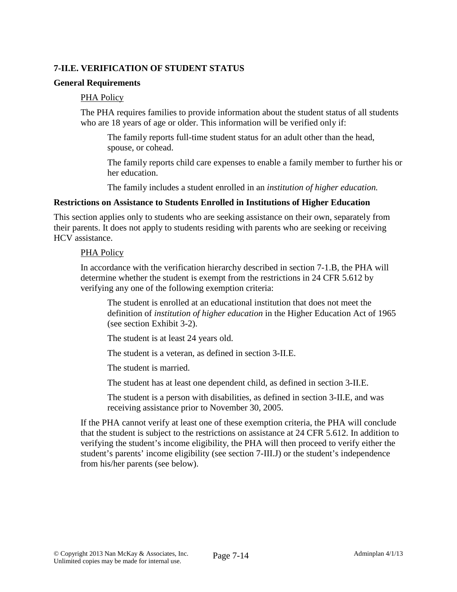## **7-II.E. VERIFICATION OF STUDENT STATUS**

#### **General Requirements**

#### PHA Policy

The PHA requires families to provide information about the student status of all students who are 18 years of age or older. This information will be verified only if:

The family reports full-time student status for an adult other than the head, spouse, or cohead.

The family reports child care expenses to enable a family member to further his or her education.

The family includes a student enrolled in an *institution of higher education.*

#### **Restrictions on Assistance to Students Enrolled in Institutions of Higher Education**

This section applies only to students who are seeking assistance on their own, separately from their parents. It does not apply to students residing with parents who are seeking or receiving HCV assistance.

#### PHA Policy

In accordance with the verification hierarchy described in section 7-1.B, the PHA will determine whether the student is exempt from the restrictions in 24 CFR 5.612 by verifying any one of the following exemption criteria:

The student is enrolled at an educational institution that does not meet the definition of *institution of higher education* in the Higher Education Act of 1965 (see section Exhibit 3-2).

The student is at least 24 years old.

The student is a veteran, as defined in section 3-II.E.

The student is married.

The student has at least one dependent child, as defined in section 3-II.E.

The student is a person with disabilities, as defined in section 3-II.E, and was receiving assistance prior to November 30, 2005.

If the PHA cannot verify at least one of these exemption criteria, the PHA will conclude that the student is subject to the restrictions on assistance at 24 CFR 5.612. In addition to verifying the student's income eligibility, the PHA will then proceed to verify either the student's parents' income eligibility (see section 7-III.J) or the student's independence from his/her parents (see below).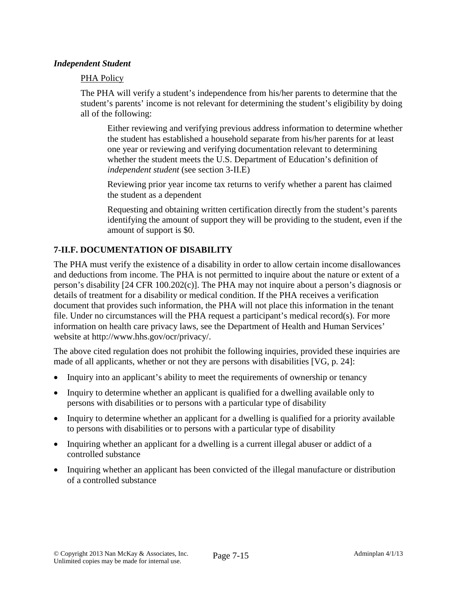### *Independent Student*

### PHA Policy

The PHA will verify a student's independence from his/her parents to determine that the student's parents' income is not relevant for determining the student's eligibility by doing all of the following:

Either reviewing and verifying previous address information to determine whether the student has established a household separate from his/her parents for at least one year or reviewing and verifying documentation relevant to determining whether the student meets the U.S. Department of Education's definition of *independent student* (see section 3-II.E)

Reviewing prior year income tax returns to verify whether a parent has claimed the student as a dependent

Requesting and obtaining written certification directly from the student's parents identifying the amount of support they will be providing to the student, even if the amount of support is \$0.

## **7-II.F. DOCUMENTATION OF DISABILITY**

The PHA must verify the existence of a disability in order to allow certain income disallowances and deductions from income. The PHA is not permitted to inquire about the nature or extent of a person's disability [24 CFR 100.202(c)]. The PHA may not inquire about a person's diagnosis or details of treatment for a disability or medical condition. If the PHA receives a verification document that provides such information, the PHA will not place this information in the tenant file. Under no circumstances will the PHA request a participant's medical record(s). For more information on health care privacy laws, see the Department of Health and Human Services' website at http://www.hhs.gov/ocr/privacy/.

The above cited regulation does not prohibit the following inquiries, provided these inquiries are made of all applicants, whether or not they are persons with disabilities [VG, p. 24]:

- Inquiry into an applicant's ability to meet the requirements of ownership or tenancy
- Inquiry to determine whether an applicant is qualified for a dwelling available only to persons with disabilities or to persons with a particular type of disability
- Inquiry to determine whether an applicant for a dwelling is qualified for a priority available to persons with disabilities or to persons with a particular type of disability
- Inquiring whether an applicant for a dwelling is a current illegal abuser or addict of a controlled substance
- Inquiring whether an applicant has been convicted of the illegal manufacture or distribution of a controlled substance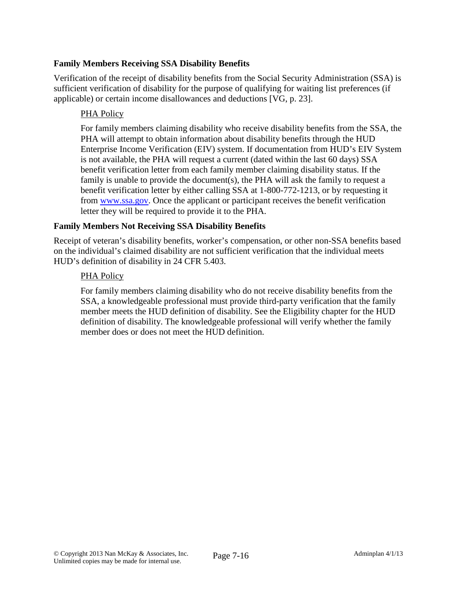## **Family Members Receiving SSA Disability Benefits**

Verification of the receipt of disability benefits from the Social Security Administration (SSA) is sufficient verification of disability for the purpose of qualifying for waiting list preferences (if applicable) or certain income disallowances and deductions [VG, p. 23].

## PHA Policy

For family members claiming disability who receive disability benefits from the SSA, the PHA will attempt to obtain information about disability benefits through the HUD Enterprise Income Verification (EIV) system. If documentation from HUD's EIV System is not available, the PHA will request a current (dated within the last 60 days) SSA benefit verification letter from each family member claiming disability status. If the family is unable to provide the document(s), the PHA will ask the family to request a benefit verification letter by either calling SSA at 1-800-772-1213, or by requesting it from www.ssa.gov. Once the applicant or participant receives the benefit verification letter they will be required to provide it to the PHA.

## **Family Members Not Receiving SSA Disability Benefits**

Receipt of veteran's disability benefits, worker's compensation, or other non-SSA benefits based on the individual's claimed disability are not sufficient verification that the individual meets HUD's definition of disability in 24 CFR 5.403.

## PHA Policy

For family members claiming disability who do not receive disability benefits from the SSA, a knowledgeable professional must provide third-party verification that the family member meets the HUD definition of disability. See the Eligibility chapter for the HUD definition of disability. The knowledgeable professional will verify whether the family member does or does not meet the HUD definition.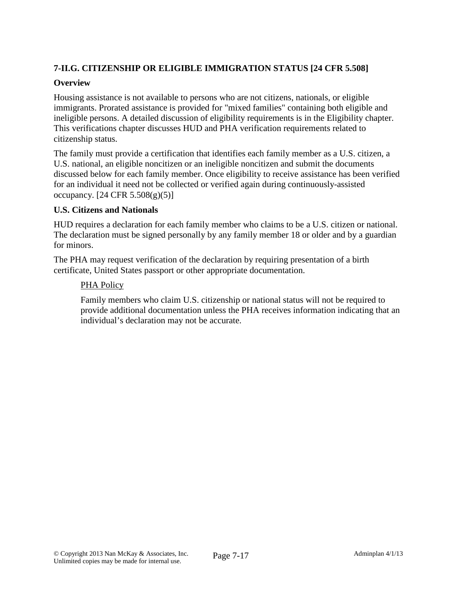# **7-II.G. CITIZENSHIP OR ELIGIBLE IMMIGRATION STATUS [24 CFR 5.508]**

## **Overview**

Housing assistance is not available to persons who are not citizens, nationals, or eligible immigrants. Prorated assistance is provided for "mixed families" containing both eligible and ineligible persons. A detailed discussion of eligibility requirements is in the Eligibility chapter. This verifications chapter discusses HUD and PHA verification requirements related to citizenship status.

The family must provide a certification that identifies each family member as a U.S. citizen, a U.S. national, an eligible noncitizen or an ineligible noncitizen and submit the documents discussed below for each family member. Once eligibility to receive assistance has been verified for an individual it need not be collected or verified again during continuously-assisted occupancy.  $[24 \text{ CFR } 5.508(g)(5)]$ 

## **U.S. Citizens and Nationals**

HUD requires a declaration for each family member who claims to be a U.S. citizen or national. The declaration must be signed personally by any family member 18 or older and by a guardian for minors.

The PHA may request verification of the declaration by requiring presentation of a birth certificate, United States passport or other appropriate documentation.

## PHA Policy

Family members who claim U.S. citizenship or national status will not be required to provide additional documentation unless the PHA receives information indicating that an individual's declaration may not be accurate.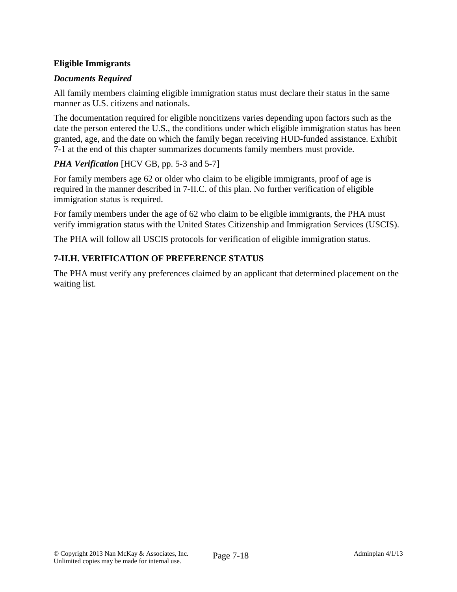# **Eligible Immigrants**

# *Documents Required*

All family members claiming eligible immigration status must declare their status in the same manner as U.S. citizens and nationals.

The documentation required for eligible noncitizens varies depending upon factors such as the date the person entered the U.S., the conditions under which eligible immigration status has been granted, age, and the date on which the family began receiving HUD-funded assistance. Exhibit 7-1 at the end of this chapter summarizes documents family members must provide.

# *PHA Verification* [HCV GB, pp. 5-3 and 5-7]

For family members age 62 or older who claim to be eligible immigrants, proof of age is required in the manner described in 7-II.C. of this plan. No further verification of eligible immigration status is required.

For family members under the age of 62 who claim to be eligible immigrants, the PHA must verify immigration status with the United States Citizenship and Immigration Services (USCIS).

The PHA will follow all USCIS protocols for verification of eligible immigration status.

# **7-II.H. VERIFICATION OF PREFERENCE STATUS**

The PHA must verify any preferences claimed by an applicant that determined placement on the waiting list.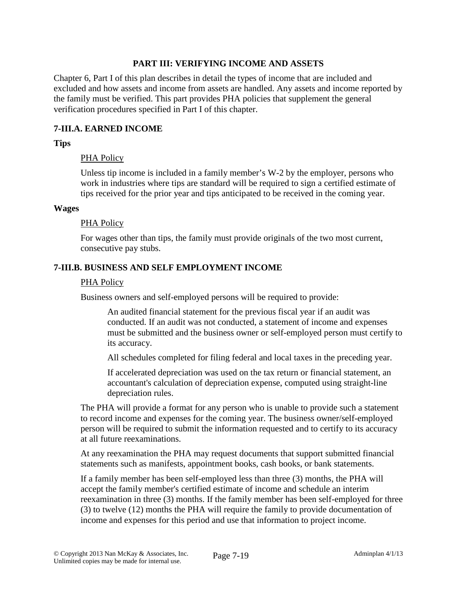### **PART III: VERIFYING INCOME AND ASSETS**

Chapter 6, Part I of this plan describes in detail the types of income that are included and excluded and how assets and income from assets are handled. Any assets and income reported by the family must be verified. This part provides PHA policies that supplement the general verification procedures specified in Part I of this chapter.

## **7-III.A. EARNED INCOME**

### **Tips**

#### PHA Policy

Unless tip income is included in a family member's W-2 by the employer, persons who work in industries where tips are standard will be required to sign a certified estimate of tips received for the prior year and tips anticipated to be received in the coming year.

#### **Wages**

#### PHA Policy

For wages other than tips, the family must provide originals of the two most current, consecutive pay stubs.

### **7-III.B. BUSINESS AND SELF EMPLOYMENT INCOME**

#### PHA Policy

Business owners and self-employed persons will be required to provide:

An audited financial statement for the previous fiscal year if an audit was conducted. If an audit was not conducted, a statement of income and expenses must be submitted and the business owner or self-employed person must certify to its accuracy.

All schedules completed for filing federal and local taxes in the preceding year.

If accelerated depreciation was used on the tax return or financial statement, an accountant's calculation of depreciation expense, computed using straight-line depreciation rules.

The PHA will provide a format for any person who is unable to provide such a statement to record income and expenses for the coming year. The business owner/self-employed person will be required to submit the information requested and to certify to its accuracy at all future reexaminations.

At any reexamination the PHA may request documents that support submitted financial statements such as manifests, appointment books, cash books, or bank statements.

If a family member has been self-employed less than three (3) months, the PHA will accept the family member's certified estimate of income and schedule an interim reexamination in three (3) months. If the family member has been self-employed for three (3) to twelve (12) months the PHA will require the family to provide documentation of income and expenses for this period and use that information to project income.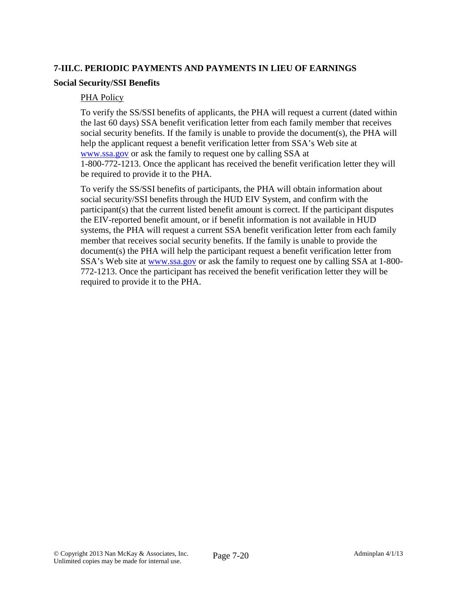## **7-III.C. PERIODIC PAYMENTS AND PAYMENTS IN LIEU OF EARNINGS**

#### **Social Security/SSI Benefits**

#### PHA Policy

To verify the SS/SSI benefits of applicants, the PHA will request a current (dated within the last 60 days) SSA benefit verification letter from each family member that receives social security benefits. If the family is unable to provide the document(s), the PHA will help the applicant request a benefit verification letter from SSA's Web site at www.ssa.gov or ask the family to request one by calling SSA at 1-800-772-1213. Once the applicant has received the benefit verification letter they will be required to provide it to the PHA.

To verify the SS/SSI benefits of participants, the PHA will obtain information about social security/SSI benefits through the HUD EIV System, and confirm with the participant(s) that the current listed benefit amount is correct. If the participant disputes the EIV-reported benefit amount, or if benefit information is not available in HUD systems, the PHA will request a current SSA benefit verification letter from each family member that receives social security benefits. If the family is unable to provide the document(s) the PHA will help the participant request a benefit verification letter from SSA's Web site at www.ssa.gov or ask the family to request one by calling SSA at 1-800- 772-1213. Once the participant has received the benefit verification letter they will be required to provide it to the PHA.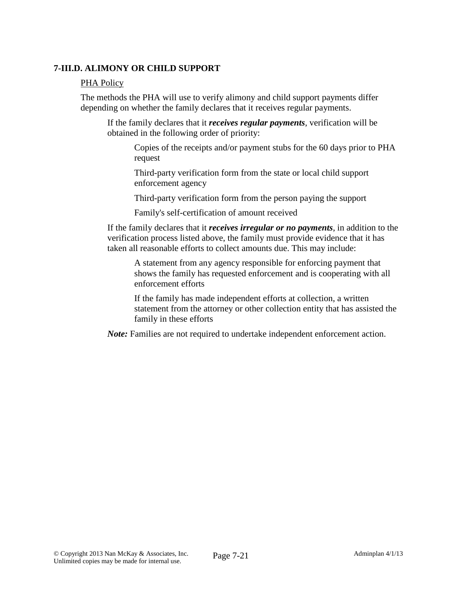## **7-III.D. ALIMONY OR CHILD SUPPORT**

#### PHA Policy

The methods the PHA will use to verify alimony and child support payments differ depending on whether the family declares that it receives regular payments.

If the family declares that it *receives regular payments*, verification will be obtained in the following order of priority:

Copies of the receipts and/or payment stubs for the 60 days prior to PHA request

Third-party verification form from the state or local child support enforcement agency

Third-party verification form from the person paying the support

Family's self-certification of amount received

If the family declares that it *receives irregular or no payments*, in addition to the verification process listed above, the family must provide evidence that it has taken all reasonable efforts to collect amounts due. This may include:

A statement from any agency responsible for enforcing payment that shows the family has requested enforcement and is cooperating with all enforcement efforts

If the family has made independent efforts at collection, a written statement from the attorney or other collection entity that has assisted the family in these efforts

*Note:* Families are not required to undertake independent enforcement action.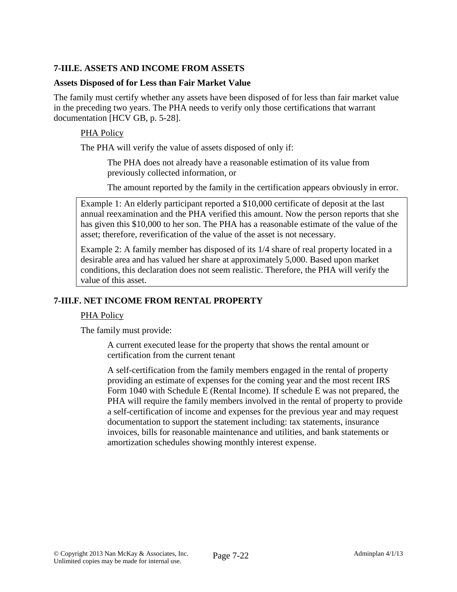## **7-III.E. ASSETS AND INCOME FROM ASSETS**

#### **Assets Disposed of for Less than Fair Market Value**

The family must certify whether any assets have been disposed of for less than fair market value in the preceding two years. The PHA needs to verify only those certifications that warrant documentation [HCV GB, p. 5-28].

### PHA Policy

The PHA will verify the value of assets disposed of only if:

The PHA does not already have a reasonable estimation of its value from previously collected information, or

The amount reported by the family in the certification appears obviously in error.

Example 1: An elderly participant reported a \$10,000 certificate of deposit at the last annual reexamination and the PHA verified this amount. Now the person reports that she has given this \$10,000 to her son. The PHA has a reasonable estimate of the value of the asset; therefore, reverification of the value of the asset is not necessary.

Example 2: A family member has disposed of its 1/4 share of real property located in a desirable area and has valued her share at approximately 5,000. Based upon market conditions, this declaration does not seem realistic. Therefore, the PHA will verify the value of this asset.

## **7-III.F. NET INCOME FROM RENTAL PROPERTY**

#### PHA Policy

The family must provide:

A current executed lease for the property that shows the rental amount or certification from the current tenant

A self-certification from the family members engaged in the rental of property providing an estimate of expenses for the coming year and the most recent IRS Form 1040 with Schedule E (Rental Income). If schedule E was not prepared, the PHA will require the family members involved in the rental of property to provide a self-certification of income and expenses for the previous year and may request documentation to support the statement including: tax statements, insurance invoices, bills for reasonable maintenance and utilities, and bank statements or amortization schedules showing monthly interest expense.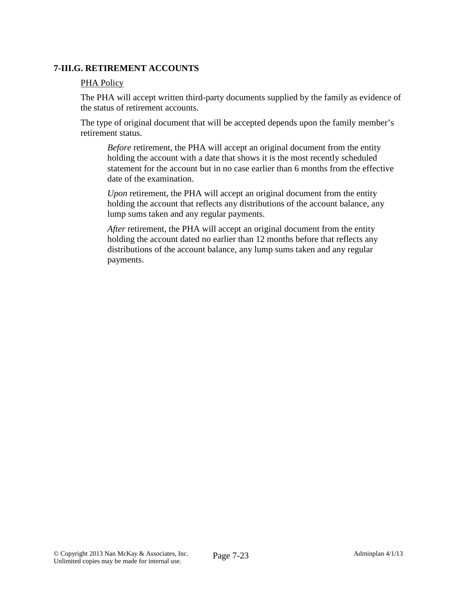## **7-III.G. RETIREMENT ACCOUNTS**

### PHA Policy

The PHA will accept written third-party documents supplied by the family as evidence of the status of retirement accounts.

The type of original document that will be accepted depends upon the family member's retirement status.

*Before* retirement, the PHA will accept an original document from the entity holding the account with a date that shows it is the most recently scheduled statement for the account but in no case earlier than 6 months from the effective date of the examination.

*Upon* retirement, the PHA will accept an original document from the entity holding the account that reflects any distributions of the account balance, any lump sums taken and any regular payments.

*After* retirement, the PHA will accept an original document from the entity holding the account dated no earlier than 12 months before that reflects any distributions of the account balance, any lump sums taken and any regular payments.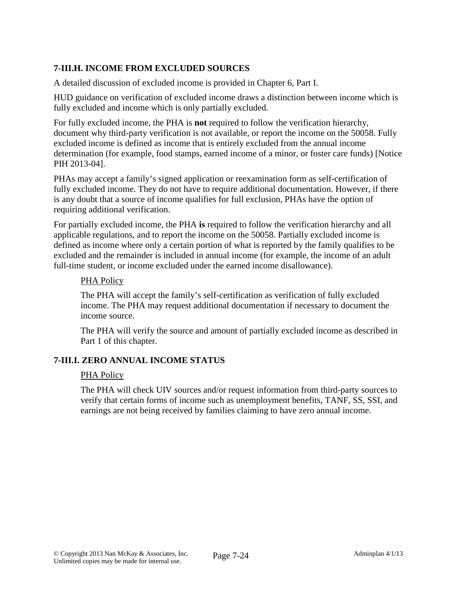# **7-III.H. INCOME FROM EXCLUDED SOURCES**

A detailed discussion of excluded income is provided in Chapter 6, Part I.

HUD guidance on verification of excluded income draws a distinction between income which is fully excluded and income which is only partially excluded.

For fully excluded income, the PHA is **not** required to follow the verification hierarchy, document why third-party verification is not available, or report the income on the 50058. Fully excluded income is defined as income that is entirely excluded from the annual income determination (for example, food stamps, earned income of a minor, or foster care funds) [Notice PIH 2013-04].

PHAs may accept a family's signed application or reexamination form as self-certification of fully excluded income. They do not have to require additional documentation. However, if there is any doubt that a source of income qualifies for full exclusion, PHAs have the option of requiring additional verification.

For partially excluded income, the PHA **is** required to follow the verification hierarchy and all applicable regulations, and to report the income on the 50058. Partially excluded income is defined as income where only a certain portion of what is reported by the family qualifies to be excluded and the remainder is included in annual income (for example, the income of an adult full-time student, or income excluded under the earned income disallowance).

### PHA Policy

The PHA will accept the family's self-certification as verification of fully excluded income. The PHA may request additional documentation if necessary to document the income source.

The PHA will verify the source and amount of partially excluded income as described in Part 1 of this chapter.

## **7-III.I. ZERO ANNUAL INCOME STATUS**

#### PHA Policy

The PHA will check UIV sources and/or request information from third-party sources to verify that certain forms of income such as unemployment benefits, TANF, SS, SSI, and earnings are not being received by families claiming to have zero annual income.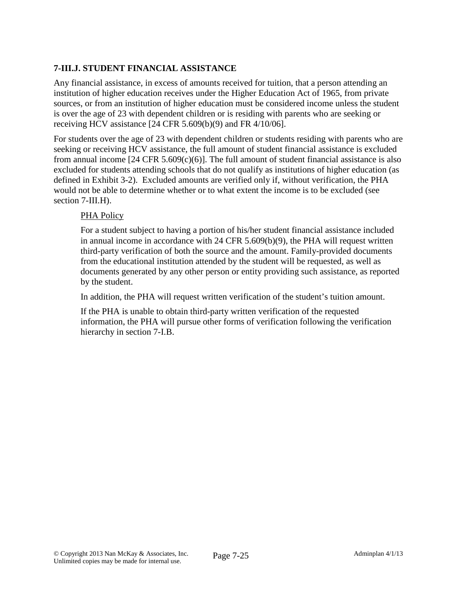# **7-III.J. STUDENT FINANCIAL ASSISTANCE**

Any financial assistance, in excess of amounts received for tuition, that a person attending an institution of higher education receives under the Higher Education Act of 1965, from private sources, or from an institution of higher education must be considered income unless the student is over the age of 23 with dependent children or is residing with parents who are seeking or receiving HCV assistance [24 CFR 5.609(b)(9) and FR 4/10/06].

For students over the age of 23 with dependent children or students residing with parents who are seeking or receiving HCV assistance, the full amount of student financial assistance is excluded from annual income  $[24 \text{ CFR } 5.609(c)(6)]$ . The full amount of student financial assistance is also excluded for students attending schools that do not qualify as institutions of higher education (as defined in Exhibit 3-2). Excluded amounts are verified only if, without verification, the PHA would not be able to determine whether or to what extent the income is to be excluded (see section 7-III.H).

## PHA Policy

For a student subject to having a portion of his/her student financial assistance included in annual income in accordance with 24 CFR 5.609(b)(9), the PHA will request written third-party verification of both the source and the amount. Family-provided documents from the educational institution attended by the student will be requested, as well as documents generated by any other person or entity providing such assistance, as reported by the student.

In addition, the PHA will request written verification of the student's tuition amount.

If the PHA is unable to obtain third-party written verification of the requested information, the PHA will pursue other forms of verification following the verification hierarchy in section 7-I.B.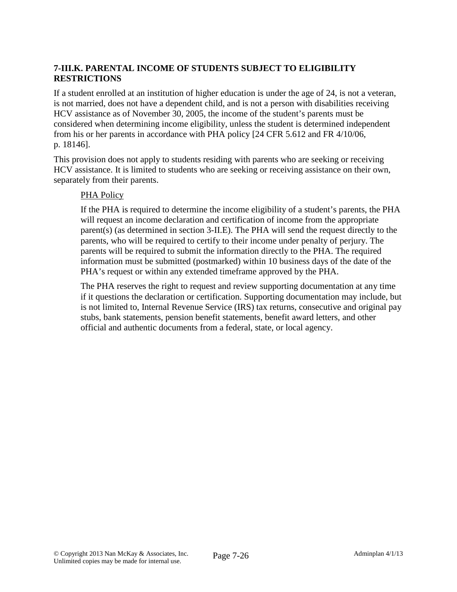# **7-III.K. PARENTAL INCOME OF STUDENTS SUBJECT TO ELIGIBILITY RESTRICTIONS**

If a student enrolled at an institution of higher education is under the age of 24, is not a veteran, is not married, does not have a dependent child, and is not a person with disabilities receiving HCV assistance as of November 30, 2005, the income of the student's parents must be considered when determining income eligibility, unless the student is determined independent from his or her parents in accordance with PHA policy [24 CFR 5.612 and FR 4/10/06, p. 18146].

This provision does not apply to students residing with parents who are seeking or receiving HCV assistance. It is limited to students who are seeking or receiving assistance on their own, separately from their parents.

### PHA Policy

If the PHA is required to determine the income eligibility of a student's parents, the PHA will request an income declaration and certification of income from the appropriate parent(s) (as determined in section 3-II.E). The PHA will send the request directly to the parents, who will be required to certify to their income under penalty of perjury. The parents will be required to submit the information directly to the PHA. The required information must be submitted (postmarked) within 10 business days of the date of the PHA's request or within any extended timeframe approved by the PHA.

The PHA reserves the right to request and review supporting documentation at any time if it questions the declaration or certification. Supporting documentation may include, but is not limited to, Internal Revenue Service (IRS) tax returns, consecutive and original pay stubs, bank statements, pension benefit statements, benefit award letters, and other official and authentic documents from a federal, state, or local agency.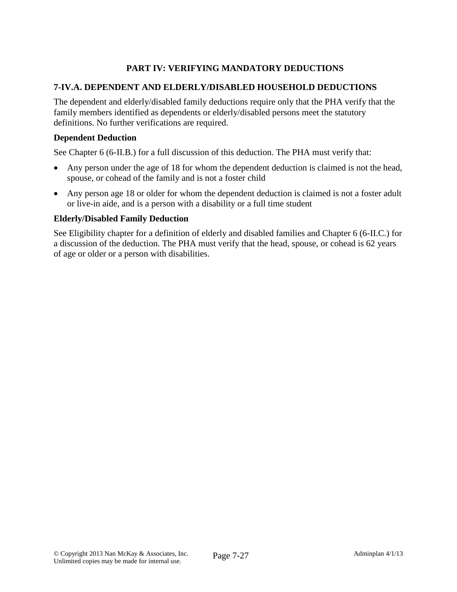# **PART IV: VERIFYING MANDATORY DEDUCTIONS**

## **7-IV.A. DEPENDENT AND ELDERLY/DISABLED HOUSEHOLD DEDUCTIONS**

The dependent and elderly/disabled family deductions require only that the PHA verify that the family members identified as dependents or elderly/disabled persons meet the statutory definitions. No further verifications are required.

#### **Dependent Deduction**

See Chapter 6 (6-II.B.) for a full discussion of this deduction. The PHA must verify that:

- Any person under the age of 18 for whom the dependent deduction is claimed is not the head, spouse, or cohead of the family and is not a foster child
- Any person age 18 or older for whom the dependent deduction is claimed is not a foster adult or live-in aide, and is a person with a disability or a full time student

#### **Elderly/Disabled Family Deduction**

See Eligibility chapter for a definition of elderly and disabled families and Chapter 6 (6-II.C.) for a discussion of the deduction. The PHA must verify that the head, spouse, or cohead is 62 years of age or older or a person with disabilities.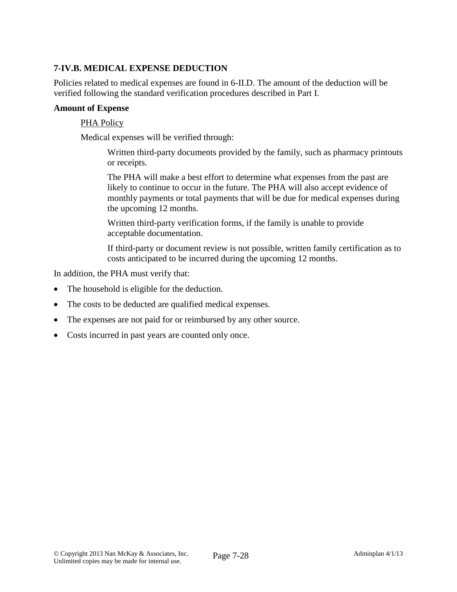# **7-IV.B. MEDICAL EXPENSE DEDUCTION**

Policies related to medical expenses are found in 6-II.D. The amount of the deduction will be verified following the standard verification procedures described in Part I.

#### **Amount of Expense**

#### PHA Policy

Medical expenses will be verified through:

Written third-party documents provided by the family, such as pharmacy printouts or receipts.

The PHA will make a best effort to determine what expenses from the past are likely to continue to occur in the future. The PHA will also accept evidence of monthly payments or total payments that will be due for medical expenses during the upcoming 12 months.

Written third-party verification forms, if the family is unable to provide acceptable documentation.

If third-party or document review is not possible, written family certification as to costs anticipated to be incurred during the upcoming 12 months.

In addition, the PHA must verify that:

- The household is eligible for the deduction.
- The costs to be deducted are qualified medical expenses.
- The expenses are not paid for or reimbursed by any other source.
- Costs incurred in past years are counted only once.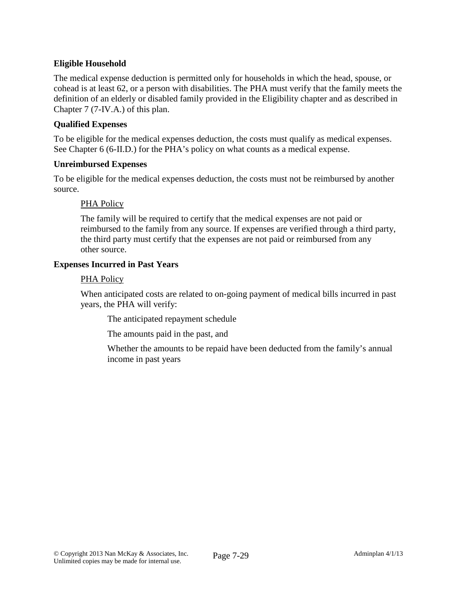## **Eligible Household**

The medical expense deduction is permitted only for households in which the head, spouse, or cohead is at least 62, or a person with disabilities. The PHA must verify that the family meets the definition of an elderly or disabled family provided in the Eligibility chapter and as described in Chapter 7 (7-IV.A.) of this plan.

## **Qualified Expenses**

To be eligible for the medical expenses deduction, the costs must qualify as medical expenses. See Chapter 6 (6-II.D.) for the PHA's policy on what counts as a medical expense.

#### **Unreimbursed Expenses**

To be eligible for the medical expenses deduction, the costs must not be reimbursed by another source.

### PHA Policy

The family will be required to certify that the medical expenses are not paid or reimbursed to the family from any source. If expenses are verified through a third party, the third party must certify that the expenses are not paid or reimbursed from any other source.

### **Expenses Incurred in Past Years**

#### PHA Policy

When anticipated costs are related to on-going payment of medical bills incurred in past years, the PHA will verify:

The anticipated repayment schedule

The amounts paid in the past, and

Whether the amounts to be repaid have been deducted from the family's annual income in past years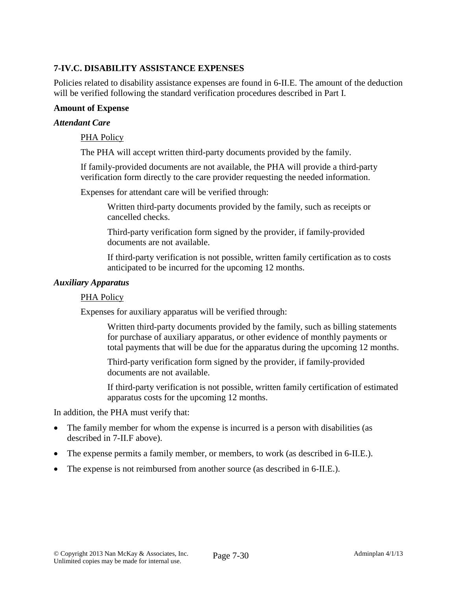# **7-IV.C. DISABILITY ASSISTANCE EXPENSES**

Policies related to disability assistance expenses are found in 6-II.E. The amount of the deduction will be verified following the standard verification procedures described in Part I.

#### **Amount of Expense**

#### *Attendant Care*

#### PHA Policy

The PHA will accept written third-party documents provided by the family.

If family-provided documents are not available, the PHA will provide a third-party verification form directly to the care provider requesting the needed information.

Expenses for attendant care will be verified through:

Written third-party documents provided by the family, such as receipts or cancelled checks.

Third-party verification form signed by the provider, if family-provided documents are not available.

If third-party verification is not possible, written family certification as to costs anticipated to be incurred for the upcoming 12 months.

#### *Auxiliary Apparatus*

#### PHA Policy

Expenses for auxiliary apparatus will be verified through:

Written third-party documents provided by the family, such as billing statements for purchase of auxiliary apparatus, or other evidence of monthly payments or total payments that will be due for the apparatus during the upcoming 12 months.

Third-party verification form signed by the provider, if family-provided documents are not available.

If third-party verification is not possible, written family certification of estimated apparatus costs for the upcoming 12 months.

In addition, the PHA must verify that:

- The family member for whom the expense is incurred is a person with disabilities (as described in 7-II.F above).
- The expense permits a family member, or members, to work (as described in 6-II.E.).
- The expense is not reimbursed from another source (as described in 6-II.E.).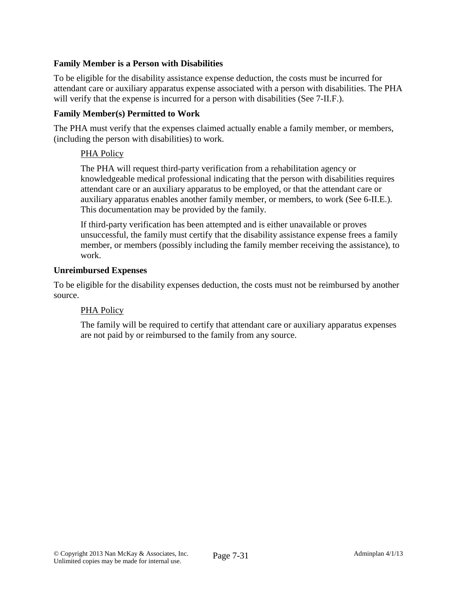## **Family Member is a Person with Disabilities**

To be eligible for the disability assistance expense deduction, the costs must be incurred for attendant care or auxiliary apparatus expense associated with a person with disabilities. The PHA will verify that the expense is incurred for a person with disabilities (See 7-II.F.).

## **Family Member(s) Permitted to Work**

The PHA must verify that the expenses claimed actually enable a family member, or members, (including the person with disabilities) to work.

## PHA Policy

The PHA will request third-party verification from a rehabilitation agency or knowledgeable medical professional indicating that the person with disabilities requires attendant care or an auxiliary apparatus to be employed, or that the attendant care or auxiliary apparatus enables another family member, or members, to work (See 6-II.E.). This documentation may be provided by the family.

If third-party verification has been attempted and is either unavailable or proves unsuccessful, the family must certify that the disability assistance expense frees a family member, or members (possibly including the family member receiving the assistance), to work.

#### **Unreimbursed Expenses**

To be eligible for the disability expenses deduction, the costs must not be reimbursed by another source.

#### PHA Policy

The family will be required to certify that attendant care or auxiliary apparatus expenses are not paid by or reimbursed to the family from any source.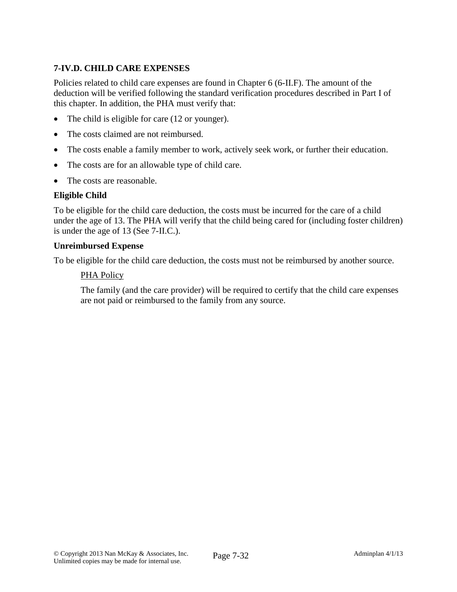# **7-IV.D. CHILD CARE EXPENSES**

Policies related to child care expenses are found in Chapter 6 (6-II.F). The amount of the deduction will be verified following the standard verification procedures described in Part I of this chapter. In addition, the PHA must verify that:

- The child is eligible for care (12 or younger).
- The costs claimed are not reimbursed.
- The costs enable a family member to work, actively seek work, or further their education.
- The costs are for an allowable type of child care.
- The costs are reasonable.

## **Eligible Child**

To be eligible for the child care deduction, the costs must be incurred for the care of a child under the age of 13. The PHA will verify that the child being cared for (including foster children) is under the age of 13 (See 7-II.C.).

### **Unreimbursed Expense**

To be eligible for the child care deduction, the costs must not be reimbursed by another source.

### PHA Policy

The family (and the care provider) will be required to certify that the child care expenses are not paid or reimbursed to the family from any source.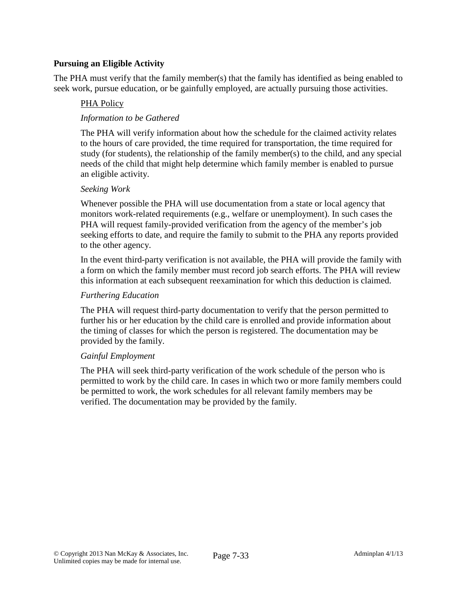## **Pursuing an Eligible Activity**

The PHA must verify that the family member(s) that the family has identified as being enabled to seek work, pursue education, or be gainfully employed, are actually pursuing those activities.

## PHA Policy

## *Information to be Gathered*

The PHA will verify information about how the schedule for the claimed activity relates to the hours of care provided, the time required for transportation, the time required for study (for students), the relationship of the family member(s) to the child, and any special needs of the child that might help determine which family member is enabled to pursue an eligible activity.

### *Seeking Work*

Whenever possible the PHA will use documentation from a state or local agency that monitors work-related requirements (e.g., welfare or unemployment). In such cases the PHA will request family-provided verification from the agency of the member's job seeking efforts to date, and require the family to submit to the PHA any reports provided to the other agency.

In the event third-party verification is not available, the PHA will provide the family with a form on which the family member must record job search efforts. The PHA will review this information at each subsequent reexamination for which this deduction is claimed.

#### *Furthering Education*

The PHA will request third-party documentation to verify that the person permitted to further his or her education by the child care is enrolled and provide information about the timing of classes for which the person is registered. The documentation may be provided by the family.

#### *Gainful Employment*

The PHA will seek third-party verification of the work schedule of the person who is permitted to work by the child care. In cases in which two or more family members could be permitted to work, the work schedules for all relevant family members may be verified. The documentation may be provided by the family.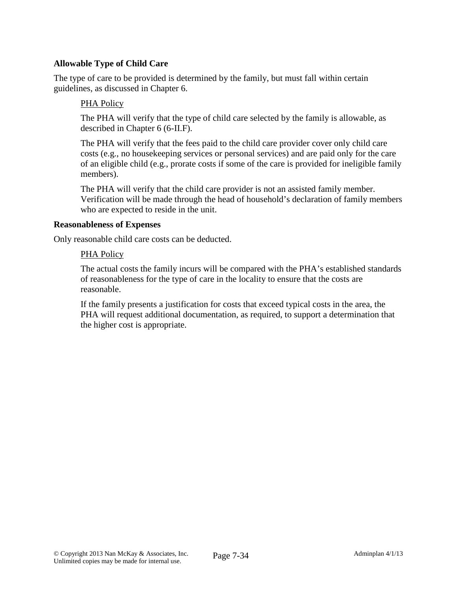## **Allowable Type of Child Care**

The type of care to be provided is determined by the family, but must fall within certain guidelines, as discussed in Chapter 6.

## PHA Policy

The PHA will verify that the type of child care selected by the family is allowable, as described in Chapter 6 (6-II.F).

The PHA will verify that the fees paid to the child care provider cover only child care costs (e.g., no housekeeping services or personal services) and are paid only for the care of an eligible child (e.g., prorate costs if some of the care is provided for ineligible family members).

The PHA will verify that the child care provider is not an assisted family member. Verification will be made through the head of household's declaration of family members who are expected to reside in the unit.

#### **Reasonableness of Expenses**

Only reasonable child care costs can be deducted.

### PHA Policy

The actual costs the family incurs will be compared with the PHA's established standards of reasonableness for the type of care in the locality to ensure that the costs are reasonable.

If the family presents a justification for costs that exceed typical costs in the area, the PHA will request additional documentation, as required, to support a determination that the higher cost is appropriate.